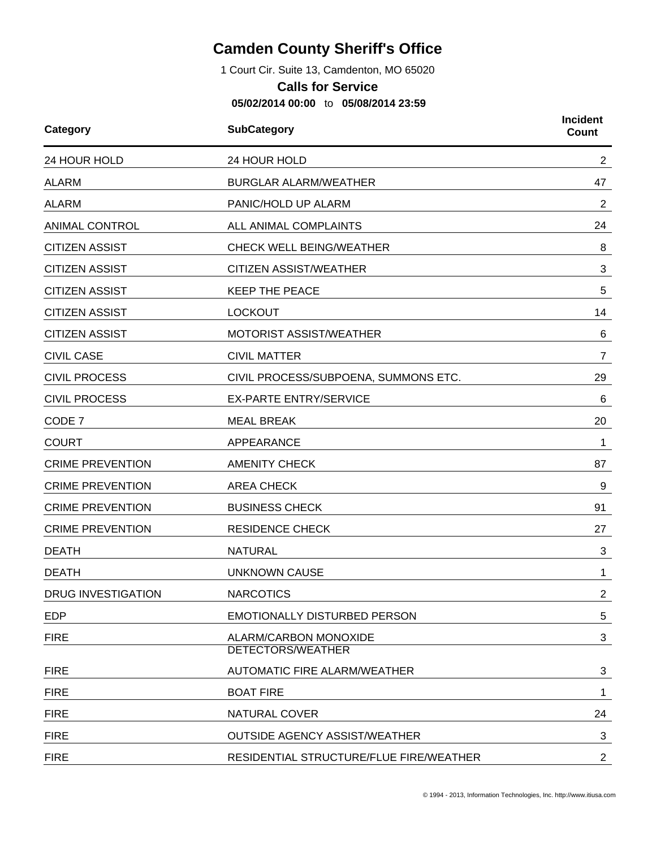## **Camden County Sheriff's Office**

1 Court Cir. Suite 13, Camdenton, MO 65020

## **Calls for Service**

**05/02/2014 00:00** to **05/08/2014 23:59**

| Category                  | <b>SubCategory</b><br>24 HOUR HOLD         |                 |
|---------------------------|--------------------------------------------|-----------------|
| 24 HOUR HOLD              |                                            |                 |
| <b>ALARM</b>              | <b>BURGLAR ALARM/WEATHER</b>               | 47              |
| <b>ALARM</b>              | PANIC/HOLD UP ALARM                        | $\overline{2}$  |
| <b>ANIMAL CONTROL</b>     | ALL ANIMAL COMPLAINTS                      | 24              |
| <b>CITIZEN ASSIST</b>     | <b>CHECK WELL BEING/WEATHER</b>            | 8               |
| <b>CITIZEN ASSIST</b>     | <b>CITIZEN ASSIST/WEATHER</b>              | 3               |
| <b>CITIZEN ASSIST</b>     | <b>KEEP THE PEACE</b>                      | 5               |
| <b>CITIZEN ASSIST</b>     | <b>LOCKOUT</b>                             | 14              |
| <b>CITIZEN ASSIST</b>     | MOTORIST ASSIST/WEATHER                    | 6               |
| <b>CIVIL CASE</b>         | <b>CIVIL MATTER</b>                        | $\overline{7}$  |
| <b>CIVIL PROCESS</b>      | CIVIL PROCESS/SUBPOENA, SUMMONS ETC.       | 29              |
| <b>CIVIL PROCESS</b>      | <b>EX-PARTE ENTRY/SERVICE</b>              | 6               |
| CODE 7                    | <b>MEAL BREAK</b>                          | 20              |
| <b>COURT</b>              | APPEARANCE                                 | 1               |
| <b>CRIME PREVENTION</b>   | <b>AMENITY CHECK</b>                       | 87              |
| <b>CRIME PREVENTION</b>   | <b>AREA CHECK</b>                          | 9               |
| <b>CRIME PREVENTION</b>   | <b>BUSINESS CHECK</b>                      | 91              |
| <b>CRIME PREVENTION</b>   | <b>RESIDENCE CHECK</b>                     | 27              |
| <b>DEATH</b>              | <b>NATURAL</b>                             | 3               |
| <b>DEATH</b>              | <b>UNKNOWN CAUSE</b>                       | 1               |
| <b>DRUG INVESTIGATION</b> | <b>NARCOTICS</b>                           | 2               |
| <b>EDP</b>                | <b>EMOTIONALLY DISTURBED PERSON</b>        | $5\phantom{.0}$ |
| <b>FIRE</b>               | ALARM/CARBON MONOXIDE<br>DETECTORS/WEATHER | 3               |
| <b>FIRE</b>               | AUTOMATIC FIRE ALARM/WEATHER               | 3               |
| <b>FIRE</b>               | <b>BOAT FIRE</b>                           | 1               |
| <b>FIRE</b>               | NATURAL COVER                              | 24              |
| <b>FIRE</b>               | <b>OUTSIDE AGENCY ASSIST/WEATHER</b>       | 3               |
| <b>FIRE</b>               | RESIDENTIAL STRUCTURE/FLUE FIRE/WEATHER    | $\overline{2}$  |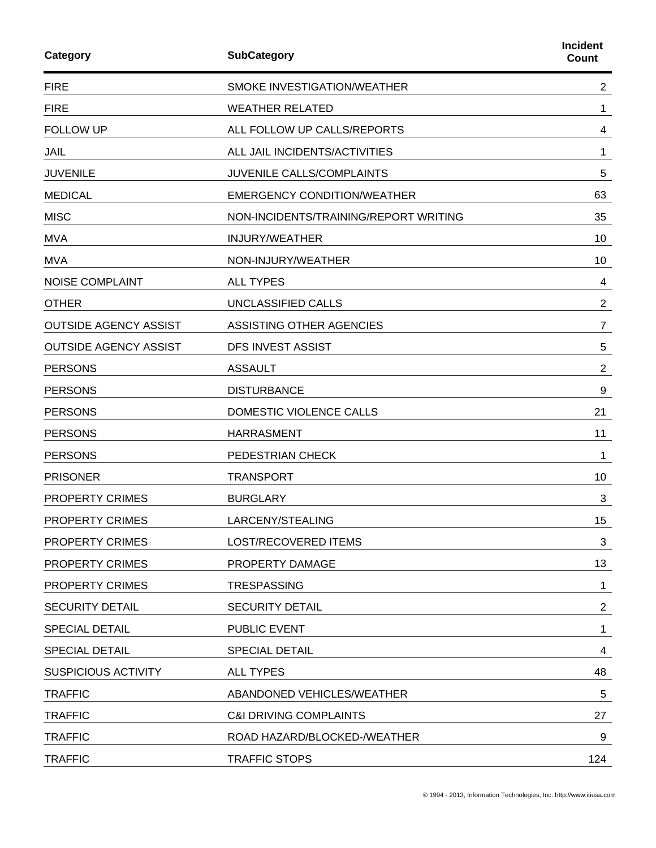| Category                     | <b>SubCategory</b>                    | <b>Incident</b><br>Count |
|------------------------------|---------------------------------------|--------------------------|
| <b>FIRE</b>                  | SMOKE INVESTIGATION/WEATHER           | $\overline{2}$           |
| <b>FIRE</b>                  | <b>WEATHER RELATED</b>                | 1                        |
| <b>FOLLOW UP</b>             | ALL FOLLOW UP CALLS/REPORTS           | 4                        |
| JAIL                         | ALL JAIL INCIDENTS/ACTIVITIES         | 1                        |
| <b>JUVENILE</b>              | JUVENILE CALLS/COMPLAINTS             | 5                        |
| <b>MEDICAL</b>               | <b>EMERGENCY CONDITION/WEATHER</b>    | 63                       |
| <b>MISC</b>                  | NON-INCIDENTS/TRAINING/REPORT WRITING | 35                       |
| <b>MVA</b>                   | <b>INJURY/WEATHER</b>                 | 10                       |
| <b>MVA</b>                   | NON-INJURY/WEATHER                    | 10                       |
| <b>NOISE COMPLAINT</b>       | <b>ALL TYPES</b>                      | 4                        |
| <b>OTHER</b>                 | UNCLASSIFIED CALLS                    | $\overline{c}$           |
| <b>OUTSIDE AGENCY ASSIST</b> | <b>ASSISTING OTHER AGENCIES</b>       | $\overline{7}$           |
| <b>OUTSIDE AGENCY ASSIST</b> | <b>DFS INVEST ASSIST</b>              | 5                        |
| <b>PERSONS</b>               | <b>ASSAULT</b>                        | $\overline{c}$           |
| <b>PERSONS</b>               | <b>DISTURBANCE</b>                    | 9                        |
| <b>PERSONS</b>               | DOMESTIC VIOLENCE CALLS               | 21                       |
| <b>PERSONS</b>               | <b>HARRASMENT</b>                     | 11                       |
| <b>PERSONS</b>               | PEDESTRIAN CHECK                      | 1                        |
| <b>PRISONER</b>              | <b>TRANSPORT</b>                      | 10                       |
| <b>PROPERTY CRIMES</b>       | <b>BURGLARY</b>                       | 3                        |
| PROPERTY CRIMES              | LARCENY/STEALING                      | 15                       |
| <b>PROPERTY CRIMES</b>       | <b>LOST/RECOVERED ITEMS</b>           | 3                        |
| PROPERTY CRIMES              | PROPERTY DAMAGE                       | 13                       |
| <b>PROPERTY CRIMES</b>       | <b>TRESPASSING</b>                    | 1                        |
| <b>SECURITY DETAIL</b>       | <b>SECURITY DETAIL</b>                | $\overline{2}$           |
| <b>SPECIAL DETAIL</b>        | PUBLIC EVENT                          | 1                        |
| <b>SPECIAL DETAIL</b>        | <b>SPECIAL DETAIL</b>                 | 4                        |
| <b>SUSPICIOUS ACTIVITY</b>   | <b>ALL TYPES</b>                      | 48                       |
| <b>TRAFFIC</b>               | ABANDONED VEHICLES/WEATHER            | 5                        |
| <b>TRAFFIC</b>               | <b>C&amp;I DRIVING COMPLAINTS</b>     | 27                       |
| <b>TRAFFIC</b>               | ROAD HAZARD/BLOCKED-/WEATHER          | 9                        |
| <b>TRAFFIC</b>               | <b>TRAFFIC STOPS</b>                  | 124                      |
|                              |                                       |                          |